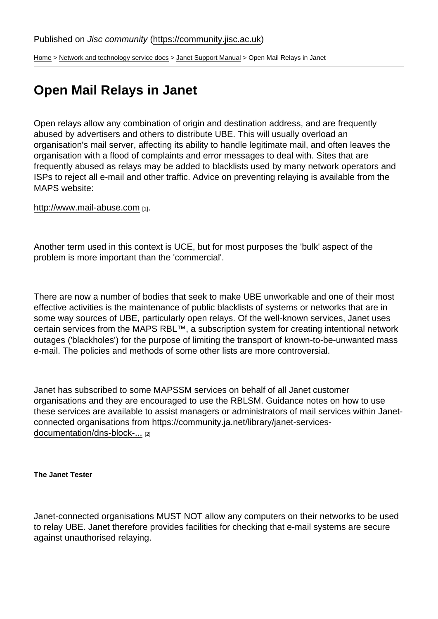[Home](https://community.jisc.ac.uk/) > [Network and technology service docs](https://community.jisc.ac.uk/library/janet-services-documentation) > [Janet Support Manual](https://community.jisc.ac.uk/library/janet-services-documentation/janet-support-manual) > Open Mail Relays in Janet

# Open Mail Relays in Janet

Open relays allow any combination of origin and destination address, and are frequently abused by advertisers and others to distribute UBE. This will usually overload an organisation's mail server, affecting its ability to handle legitimate mail, and often leaves the organisation with a flood of complaints and error messages to deal with. Sites that are frequently abused as relays may be added to blacklists used by many network operators and ISPs to reject all e-mail and other traffic. Advice on preventing relaying is available from the MAPS website:

<http://www.mail-abuse.com> [1].

Another term used in this context is UCE, but for most purposes the 'bulk' aspect of the problem is more important than the 'commercial'.

There are now a number of bodies that seek to make UBE unworkable and one of their most effective activities is the maintenance of public blacklists of systems or networks that are in some way sources of UBE, particularly open relays. Of the well-known services, Janet uses certain services from the MAPS RBL™, a subscription system for creating intentional network outages ('blackholes') for the purpose of limiting the transport of known-to-be-unwanted mass e-mail. The policies and methods of some other lists are more controversial.

Janet has subscribed to some MAPSSM services on behalf of all Janet customer organisations and they are encouraged to use the RBLSM. Guidance notes on how to use these services are available to assist managers or administrators of mail services within Janetconnected organisations from [https://community.ja.net/library/janet-services](https://community.ja.net/library/janet-services-documentation/dns-block-lists)[documentation/dns-block-...](https://community.ja.net/library/janet-services-documentation/dns-block-lists) [2]

The Janet Tester

Janet-connected organisations MUST NOT allow any computers on their networks to be used to relay UBE. Janet therefore provides facilities for checking that e-mail systems are secure against unauthorised relaying.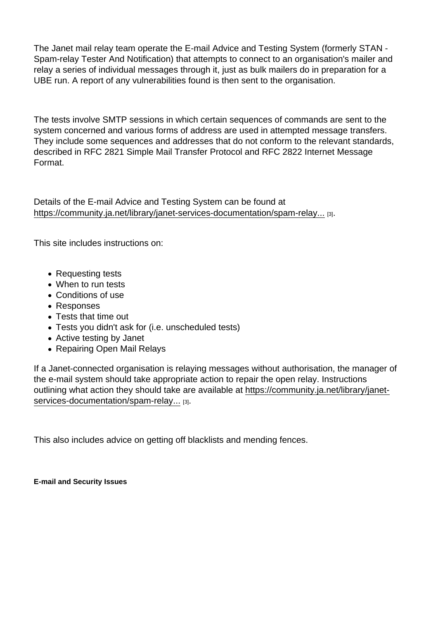The Janet mail relay team operate the E-mail Advice and Testing System (formerly STAN - Spam-relay Tester And Notification) that attempts to connect to an organisation's mailer and relay a series of individual messages through it, just as bulk mailers do in preparation for a UBE run. A report of any vulnerabilities found is then sent to the organisation.

The tests involve SMTP sessions in which certain sequences of commands are sent to the system concerned and various forms of address are used in attempted message transfers. They include some sequences and addresses that do not conform to the relevant standards, described in RFC 2821 Simple Mail Transfer Protocol and RFC 2822 Internet Message Format.

Details of the E-mail Advice and Testing System can be found at [https://community.ja.net/library/janet-services-documentation/spam-relay...](https://community.ja.net/library/janet-services-documentation/spam-relay-tester-and-notification-system) [3].

This site includes instructions on:

- Requesting tests
- When to run tests
- Conditions of use
- Responses
- Tests that time out
- Tests you didn't ask for (i.e. unscheduled tests)
- Active testing by Janet
- Repairing Open Mail Relays

If a Janet-connected organisation is relaying messages without authorisation, the manager of the e-mail system should take appropriate action to repair the open relay. Instructions outlining what action they should take are available at [https://community.ja.net/library/janet](https://community.ja.net/library/janet-services-documentation/spam-relay-tester-and-notification-system)[services-documentation/spam-relay...](https://community.ja.net/library/janet-services-documentation/spam-relay-tester-and-notification-system) [3].

This also includes advice on getting off blacklists and mending fences.

E-mail and Security Issues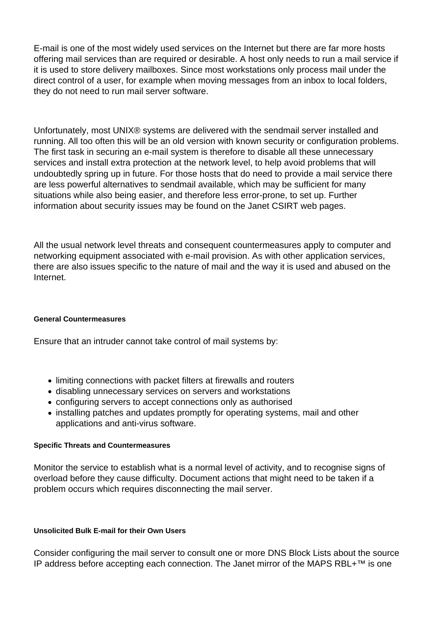E-mail is one of the most widely used services on the Internet but there are far more hosts offering mail services than are required or desirable. A host only needs to run a mail service if it is used to store delivery mailboxes. Since most workstations only process mail under the direct control of a user, for example when moving messages from an inbox to local folders, they do not need to run mail server software.

Unfortunately, most UNIX® systems are delivered with the sendmail server installed and running. All too often this will be an old version with known security or configuration problems. The first task in securing an e-mail system is therefore to disable all these unnecessary services and install extra protection at the network level, to help avoid problems that will undoubtedly spring up in future. For those hosts that do need to provide a mail service there are less powerful alternatives to sendmail available, which may be sufficient for many situations while also being easier, and therefore less error-prone, to set up. Further information about security issues may be found on the Janet CSIRT web pages.

All the usual network level threats and consequent countermeasures apply to computer and networking equipment associated with e-mail provision. As with other application services, there are also issues specific to the nature of mail and the way it is used and abused on the Internet.

## **General Countermeasures**

Ensure that an intruder cannot take control of mail systems by:

- limiting connections with packet filters at firewalls and routers
- disabling unnecessary services on servers and workstations
- configuring servers to accept connections only as authorised
- installing patches and updates promptly for operating systems, mail and other applications and anti-virus software.

#### **Specific Threats and Countermeasures**

Monitor the service to establish what is a normal level of activity, and to recognise signs of overload before they cause difficulty. Document actions that might need to be taken if a problem occurs which requires disconnecting the mail server.

## **Unsolicited Bulk E-mail for their Own Users**

Consider configuring the mail server to consult one or more DNS Block Lists about the source IP address before accepting each connection. The Janet mirror of the MAPS RBL+™ is one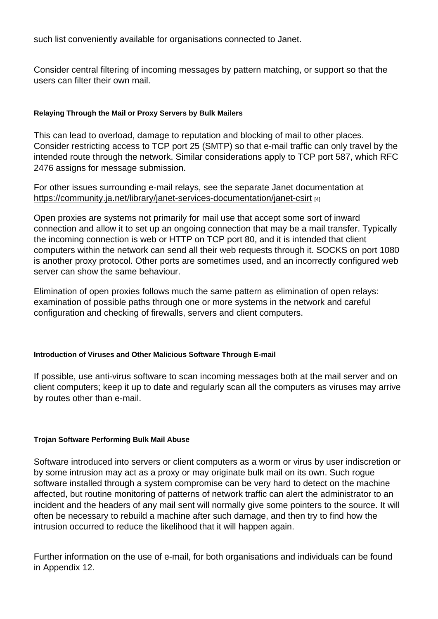such list conveniently available for organisations connected to Janet.

Consider central filtering of incoming messages by pattern matching, or support so that the users can filter their own mail.

Relaying Through the Mail or Proxy Servers by Bulk Mailers

This can lead to overload, damage to reputation and blocking of mail to other places. Consider restricting access to TCP port 25 (SMTP) so that e-mail traffic can only travel by the intended route through the network. Similar considerations apply to TCP port 587, which RFC 2476 assigns for message submission.

For other issues surrounding e-mail relays, see the separate Janet documentation at <https://community.ja.net/library/janet-services-documentation/janet-csirt> [4]

Open proxies are systems not primarily for mail use that accept some sort of inward connection and allow it to set up an ongoing connection that may be a mail transfer. Typically the incoming connection is web or HTTP on TCP port 80, and it is intended that client computers within the network can send all their web requests through it. SOCKS on port 1080 is another proxy protocol. Other ports are sometimes used, and an incorrectly configured web server can show the same behaviour.

Elimination of open proxies follows much the same pattern as elimination of open relays: examination of possible paths through one or more systems in the network and careful configuration and checking of firewalls, servers and client computers.

Introduction of Viruses and Other Malicious Software Through E-mail

If possible, use anti-virus software to scan incoming messages both at the mail server and on client computers; keep it up to date and regularly scan all the computers as viruses may arrive by routes other than e-mail.

Trojan Software Performing Bulk Mail Abuse

Software introduced into servers or client computers as a worm or virus by user indiscretion or by some intrusion may act as a proxy or may originate bulk mail on its own. Such rogue software installed through a system compromise can be very hard to detect on the machine affected, but routine monitoring of patterns of network traffic can alert the administrator to an incident and the headers of any mail sent will normally give some pointers to the source. It will often be necessary to rebuild a machine after such damage, and then try to find how the intrusion occurred to reduce the likelihood that it will happen again.

Further information on the use of e-mail, for both organisations and individuals can be found in Appendix 12.